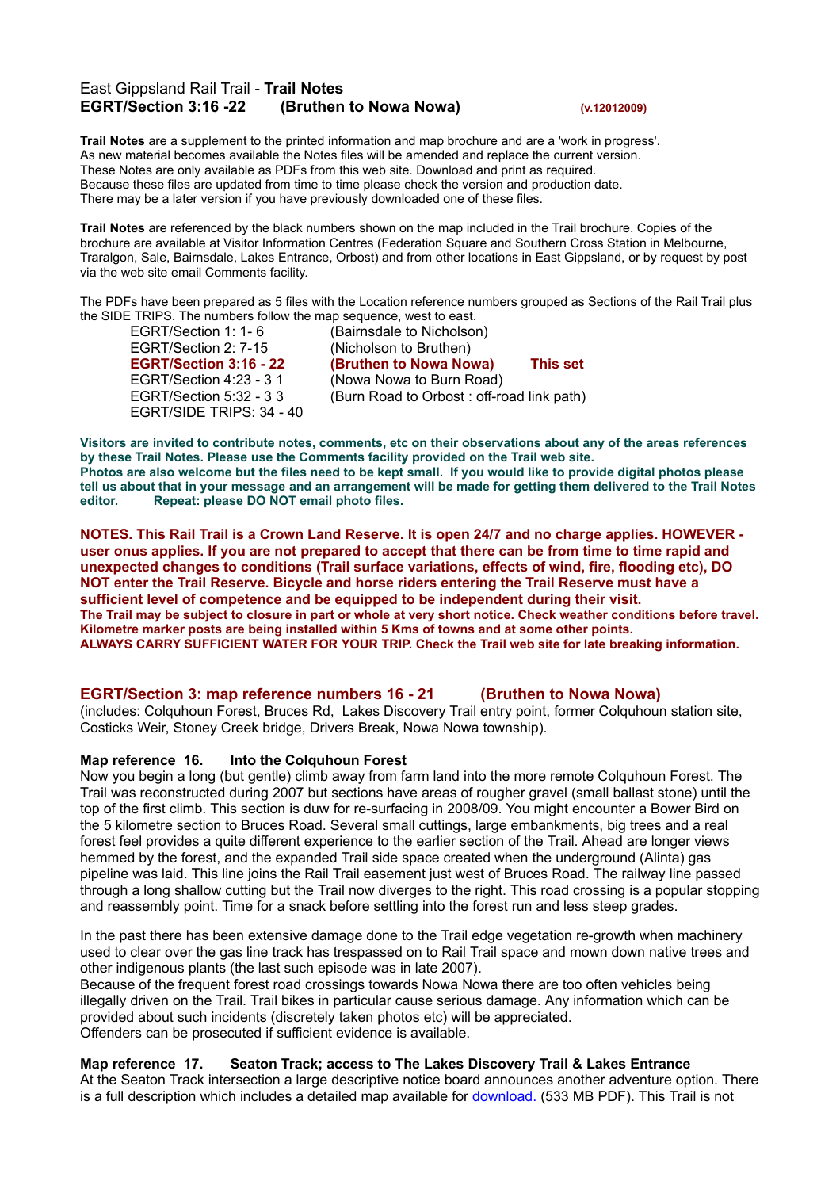# East Gippsland Rail Trail - **Trail Notes EGRT/Section 3:16 -22 (Bruthen to Nowa Nowa) (v.12012009)**

**Trail Notes** are a supplement to the printed information and map brochure and are a 'work in progress'. As new material becomes available the Notes files will be amended and replace the current version. These Notes are only available as PDFs from this web site. Download and print as required. Because these files are updated from time to time please check the version and production date. There may be a later version if you have previously downloaded one of these files.

**Trail Notes** are referenced by the black numbers shown on the map included in the Trail brochure. Copies of the brochure are available at Visitor Information Centres (Federation Square and Southern Cross Station in Melbourne, Traralgon, Sale, Bairnsdale, Lakes Entrance, Orbost) and from other locations in East Gippsland, or by request by post via the web site email Comments facility.

The PDFs have been prepared as 5 files with the Location reference numbers grouped as Sections of the Rail Trail plus the SIDE TRIPS. The numbers follow the map sequence, west to east.

EGRT/Section 1: 1- 6 (Bairnsdale to Nicholson)<br>EGRT/Section 2: 7-15 (Nicholson to Bruthen) EGRT/SIDE TRIPS: 34 - 40

(Nicholson to Bruthen) **EGRT/Section 3:16 - 22 (Bruthen to Nowa Nowa) This set** EGRT/Section 4:23 - 3 1 (Nowa Nowa to Burn Road) EGRT/Section 5:32 - 3 3 (Burn Road to Orbost : off-road link path)

Visitors are invited to contribute notes, comments, etc on their observations about any of the areas references **by these Trail Notes. Please use the Comments facility provided on the Trail web site.** Photos are also welcome but the files need to be kept small. If you would like to provide digital photos please tell us about that in your message and an arrangement will be made for getting them delivered to the Trail Notes **editor. Repeat: please DO NOT email photo files.**

NOTES. This Rail Trail is a Crown Land Reserve. It is open 24/7 and no charge applies. HOWEVER user onus applies. If you are not prepared to accept that there can be from time to time rapid and **unexpected changes to conditions (Trail surface variations, effects of wind, fire, flooding etc), DO NOT enter the Trail Reserve. Bicycle and horse riders entering the Trail Reserve must have a sufficient level of competence and be equipped to be independent during their visit.** The Trail may be subject to closure in part or whole at very short notice. Check weather conditions before travel. **Kilometre marker posts are being installed within 5 Kms of towns and at some other points. ALWAYS CARRY SUFFICIENT WATER FOR YOUR TRIP. Check the Trail web site for late breaking information.**

### **EGRT/Section 3: map reference numbers 16 - 21 (Bruthen to Nowa Nowa)**

(includes: Colquhoun Forest, Bruces Rd, Lakes Discovery Trail entry point, former Colquhoun station site, Costicks Weir, Stoney Creek bridge, Drivers Break, Nowa Nowa township).

#### **Map reference 16. Into the Colquhoun Forest**

Now you begin a long (but gentle) climb away from farm land into the more remote Colquhoun Forest. The Trail was reconstructed during 2007 but sections have areas of rougher gravel (small ballast stone) until the top of the first climb. This section is duw for re-surfacing in 2008/09. You might encounter a Bower Bird on the 5 kilometre section to Bruces Road. Several small cuttings, large embankments, big trees and a real forest feel provides a quite different experience to the earlier section of the Trail. Ahead are longer views hemmed by the forest, and the expanded Trail side space created when the underground (Alinta) gas pipeline was laid. This line joins the Rail Trail easement just west of Bruces Road. The railway line passed through a long shallow cutting but the Trail now diverges to the right. This road crossing is a popular stopping and reassembly point. Time for a snack before settling into the forest run and less steep grades.

In the past there has been extensive damage done to the Trail edge vegetation re-growth when machinery used to clear over the gas line track has trespassed on to Rail Trail space and mown down native trees and other indigenous plants (the last such episode was in late 2007).

Because of the frequent forest road crossings towards Nowa Nowa there are too often vehicles being illegally driven on the Trail. Trail bikes in particular cause serious damage. Any information which can be provided about such incidents (discretely taken photos etc) will be appreciated. Offenders can be prosecuted if sufficient evidence is available.

**Map reference 17. Seaton Track; access to The Lakes Discovery Trail & Lakes Entrance** At the Seaton Track intersection a large descriptive notice board announces another adventure option. There is a full description which includes a detailed map available for [download.](http://download./) (533 MB PDF). This Trail is not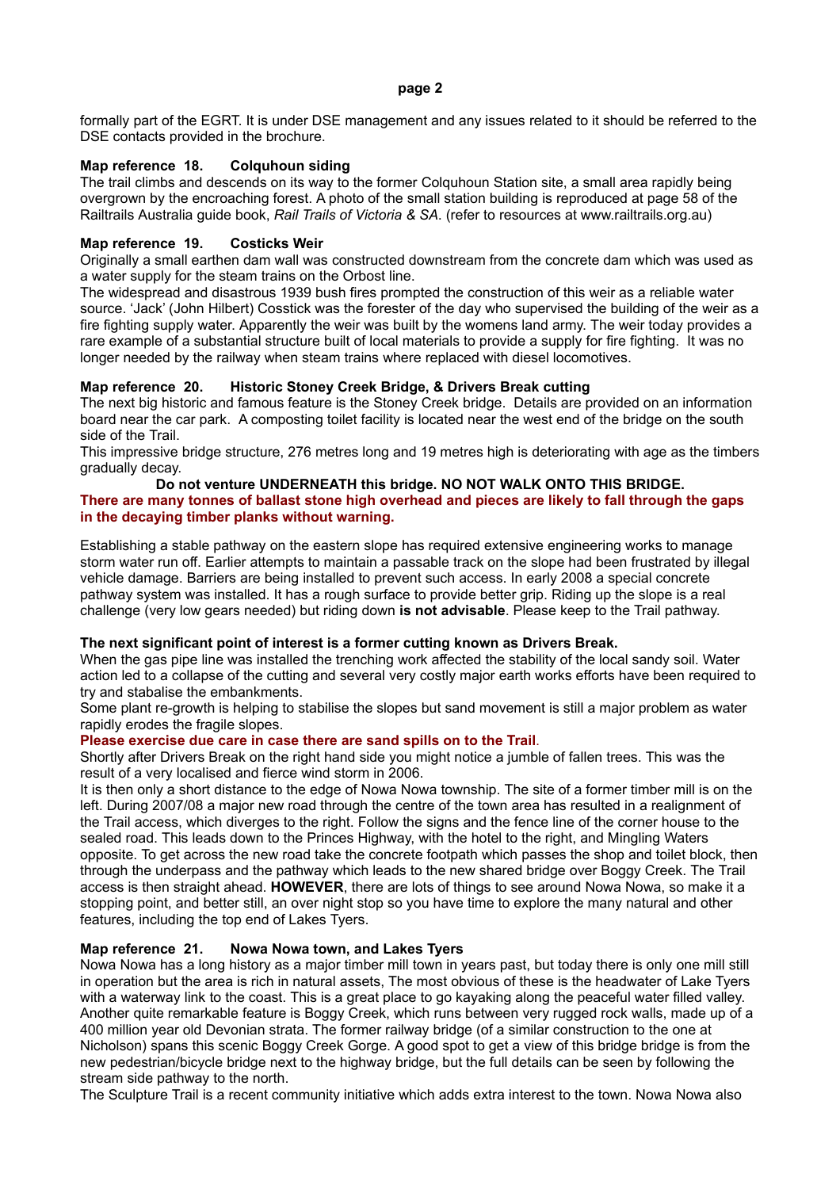#### **page 2**

formally part of the EGRT. It is under DSE management and any issues related to it should be referred to the DSE contacts provided in the brochure.

## **Map reference 18. Colquhoun siding**

The trail climbs and descends on its way to the former Colquhoun Station site, a small area rapidly being overgrown by the encroaching forest. A photo of the small station building is reproduced at page 58 of the Railtrails Australia guide book, *Rail Trails of Victoria & SA*. (refer to resources at www.railtrails.org.au)

## **Map reference 19. Costicks Weir**

Originally a small earthen dam wall was constructed downstream from the concrete dam which was used as a water supply for the steam trains on the Orbost line.

The widespread and disastrous 1939 bush fires prompted the construction of this weir as a reliable water source. 'Jack' (John Hilbert) Cosstick was the forester of the day who supervised the building of the weir as a fire fighting supply water. Apparently the weir was built by the womens land army. The weir today provides a rare example of a substantial structure built of local materials to provide a supply for fire fighting. It was no longer needed by the railway when steam trains where replaced with diesel locomotives.

## **Map reference 20. Historic Stoney Creek Bridge, & Drivers Break cutting**

The next big historic and famous feature is the Stoney Creek bridge. Details are provided on an information board near the car park. A composting toilet facility is located near the west end of the bridge on the south side of the Trail.

This impressive bridge structure, 276 metres long and 19 metres high is deteriorating with age as the timbers gradually decay.

### **Do not venture UNDERNEATH this bridge. NO NOT WALK ONTO THIS BRIDGE.** There are many tonnes of ballast stone high overhead and pieces are likely to fall through the gaps **in the decaying timber planks without warning.**

Establishing a stable pathway on the eastern slope has required extensive engineering works to manage storm water run off. Earlier attempts to maintain a passable track on the slope had been frustrated by illegal vehicle damage. Barriers are being installed to prevent such access. In early 2008 a special concrete pathway system was installed. It has a rough surface to provide better grip. Riding up the slope is a real challenge (very low gears needed) but riding down **is not advisable**. Please keep to the Trail pathway.

### **The next significant point of interest is a former cutting known as Drivers Break.**

When the gas pipe line was installed the trenching work affected the stability of the local sandy soil. Water action led to a collapse of the cutting and several very costly major earth works efforts have been required to try and stabalise the embankments.

Some plant re-growth is helping to stabilise the slopes but sand movement is still a major problem as water rapidly erodes the fragile slopes.

### **Please exercise due care in case there are sand spills on to the Trail**.

Shortly after Drivers Break on the right hand side you might notice a jumble of fallen trees. This was the result of a very localised and fierce wind storm in 2006.

It is then only a short distance to the edge of Nowa Nowa township. The site of a former timber mill is on the left. During 2007/08 a major new road through the centre of the town area has resulted in a realignment of the Trail access, which diverges to the right. Follow the signs and the fence line of the corner house to the sealed road. This leads down to the Princes Highway, with the hotel to the right, and Mingling Waters opposite. To get across the new road take the concrete footpath which passes the shop and toilet block, then through the underpass and the pathway which leads to the new shared bridge over Boggy Creek. The Trail access is then straight ahead. **HOWEVER**, there are lots of things to see around Nowa Nowa, so make it a stopping point, and better still, an over night stop so you have time to explore the many natural and other features, including the top end of Lakes Tyers.

# **Map reference 21. Nowa Nowa town, and Lakes Tyers**

Nowa Nowa has a long history as a major timber mill town in years past, but today there is only one mill still in operation but the area is rich in natural assets, The most obvious of these is the headwater of Lake Tyers with a waterway link to the coast. This is a great place to go kayaking along the peaceful water filled valley. Another quite remarkable feature is Boggy Creek, which runs between very rugged rock walls, made up of a 400 million year old Devonian strata. The former railway bridge (of a similar construction to the one at Nicholson) spans this scenic Boggy Creek Gorge. A good spot to get a view of this bridge bridge is from the new pedestrian/bicycle bridge next to the highway bridge, but the full details can be seen by following the stream side pathway to the north.

The Sculpture Trail is a recent community initiative which adds extra interest to the town. Nowa Nowa also